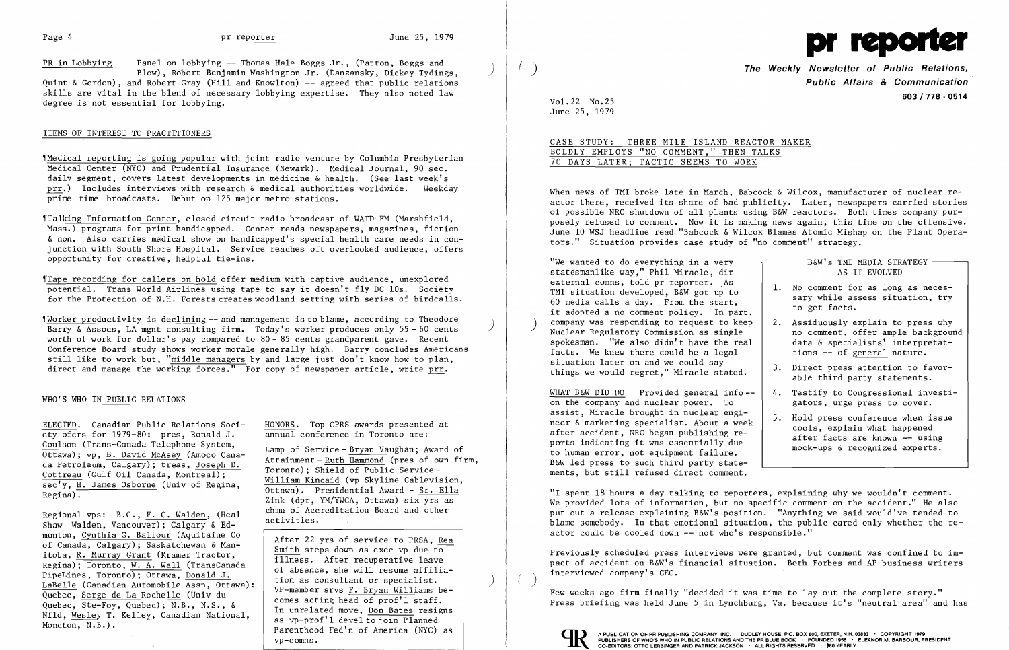PR in Lobbying Panel on lobbying -- Thomas Hale Boggs Jr., (Patton, Boggs and

'B10w) , Robert Benjamin Washington Jr. (Danzansky, Dickey Tydings, ) Quint & Gordon), and Robert Gray (Hill and Knowlton) -- agreed that public relations skills are vital in the blend of necessary lobbying expertise. They also noted law degree is not essential for lobbying.

## ITEMS OF INTEREST TO PRACTITIONERS

Talking Information Center, closed circuit radio broadcast of WATD-FM (Marshfield, Mass.) programs for print handicapped. Center reads newspapers, magazines, fiction & non. Also carries medical show on handicapped's special health care needs in conjunction with South Shore Hospital. Service reaches oft overlooked audience, offers opportunity for creative, helpful tie-ins.

'fMedica1 reporting is going popular with joint radio venture by Columbia Presbyterian Medical Center (NYC) and Prudential Insurance (Newark). Medical Journal, 90 sec. daily segment, covers latest developments in medicine & health. (See last week's prr.) Includes interviews with research & medical authorities worldwide. Weekday prime time broadcasts. Debut on 125 major metro stations.

Tape recording for callers on hold offer medium with captive audience, unexplored potential. Trans World Airlines using tape to say it doesn't fly DC 10s. Society for the Protection of N.H. Forests creates woodland setting with series of birdcalls.

Worker productivity is declining -- and management is to blame, according to Theodore Barry & Assocs, LA mgnt consulting firm. Today's worker produces only 55 - 60 cents ) worth of work for dollar's pay compared to  $80 - 85$  cents grandparent gave. Recent Conference Board study shows worker morale generally high. Barry concludes Americans still like to work but, "middle managers by and large just don't know how to plan, direct and manage the working forces." For copy of newspaper article, write prr.

## WHO'S WHO IN PUBLIC RELATIONS

<u>ELECTED</u>. Canadian Public Relations Soci-<br>
ety ofcrs for 1979-80: pres, Ronald J. **Annual conference in Toronto are:** ety ofcrs for  $1979-80$ : pres, Ronald J.

Regional vps: B.C., <u>F. C. Walden</u>, (Heal chmn of Accreditation Board and other<br>Shaw Walden, Vancouver); Calgary & Ed- activities. munton, Cynthia G. Balfour (Aquitaine Co<br>
of Canada, Calgary); Saskatchewan & Man-<br>
itoba, R. Murray Grant (Kramer Tractor,<br>
Regina); Toronto, <u>W. A. Wall</u> (TransCanada<br>
PipeLines, Toronto); Ottawa, <u>Donald J.</u><br>
<u>LaBelle</u> Quebec, Serge de La Rochelle (Univ du<br>Quebec, Ste-Foy, Quebec); N.B., N.S., &<br>Nfld, <u>Wesley T. Kelley</u>, Canadian National,<br>Moncton, N.B.). (Parenthood Fed'n of America (NYC) as

Coulson (Trans-Canada Telephone System, Lamp of Service-Bryan Vaughan; Award of Ottawa); vp, <u>B. David McAsey</u> (Amoco Cana-<br>da Petroleum, Calgary); treas, <u>Joseph D.</u><br>Cottreau (Gulf Oil Canada, Montreal); Toronto); Shield

When news of TMI broke late in March, Babcock & Wilcox, manufacturer of nuclear reactor there, received its share of bad publicity. Later, newspapers carried stories of possible NRC shutdown of all plants using B&W reactors. Both times company purposely refused to comment. Now it is making news again, this time on the offensive. June 10 WSJ headline read "Babcock & Wilcox Blames Atomic Mishap on the Plant Operators." Situation provides case study of "no comment" strategy.

WHAT B&W DID DO Provided general info $$ on the company and nuclear power. To assist, Miracle brought in nuclear engi-<br>neer & marketing specialist. About a week after accident, NRC began publishing re-<br>ports indicating it was essentially due<br>to human error, not equipment failure. B&W led press to such third party statements, but still refused direct comment.

"I spent 18 hours a day talking to reporters, explaining why we wouldn't comment. We provided lots of information, but no specific comment on the accident." He also put out a release explaining B&W's position. "Anything we said would've tended to blame somebody. In that emotional situation, the public cared only whether the reactor could be cooled down -- not who's responsible."

Previously scheduled press interviews were granted, but comment was confined to impact of accident on B&W's financial situation. Both Forbes and AP business writers interviewed company's CEO.

vp-comns.



( ) **The Weekly Newsletter of Public Relations, Public Affairs & Communication 603/778 - <sup>0514</sup>** Vo1.22 No.25

June 25, 1979

CASE STUDY: THREE MILE ISLAND REACTOR MAKER BOLDLY EMPLOYS "NO COMMENT," THEN TALKS 70 DAYS LATER; TACTIC SEEMS TO WORK

| "We wanted to do everything in a very<br>statesmanlike way," Phil Miracle, dir                                                                                                                                                                                     |    | B&W's TMI MEDIA STRATEGY<br>AS IT EVOLVED                                                                                                    |
|--------------------------------------------------------------------------------------------------------------------------------------------------------------------------------------------------------------------------------------------------------------------|----|----------------------------------------------------------------------------------------------------------------------------------------------|
| external comns, told pr reporter. As<br>TMI situation developed, B&W got up to<br>60 media calls a day. From the start,<br>it adopted a no comment policy. In part,                                                                                                |    | 1. No comment for as long as neces-<br>sary while assess situation, try<br>to get facts.                                                     |
| company was responding to request to keep<br>Nuclear Regulatory Commission as single<br>spokesman. "We also didn't have the real<br>facts. We knew there could be a legal                                                                                          |    | 2. Assiduously explain to press why<br>no comment, offer ample background<br>data & specialists' interpretat-<br>tions -- of general nature. |
| situation later on and we could say<br>things we would regret," Miracle stated.                                                                                                                                                                                    |    | 3. Direct press attention to favor-<br>able third party statements.                                                                          |
| WHAT B&W DID DO Provided general info--<br>on the company and nuclear power. To                                                                                                                                                                                    | 4. | Testify to Congressional investi-<br>gators, urge press to cover.                                                                            |
| assist, Miracle brought in nuclear engi-<br>neer & marketing specialist. About a week<br>after accident, NRC began publishing re-<br>ports indicating it was essentially due<br>to human error, not equipment failure.<br>B&W led press to such third party state- |    | 5. Hold press conference when issue<br>cools, explain what happened<br>after facts are known -- using<br>mock-ups & recognized experts.      |

Few weeks ago firm finally "decided it was time to layout the complete story." Press briefing was held June 5 in Lynchburg, Va. because it's "neutral area" and has



I